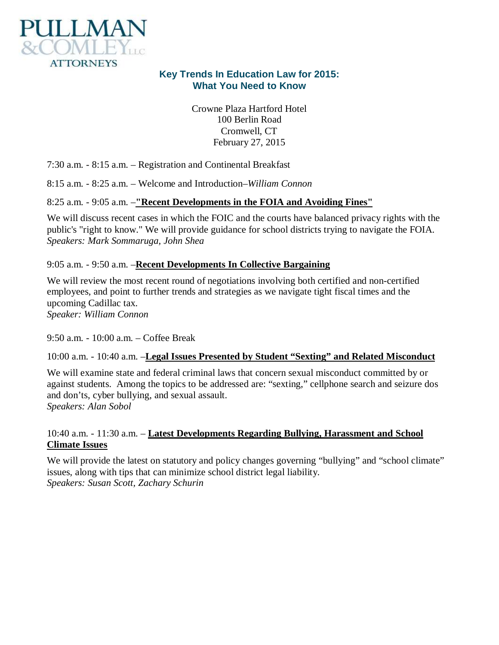

# **Key Trends In Education Law for 2015: What You Need to Know**

Crowne Plaza Hartford Hotel 100 Berlin Road Cromwell, CT February 27, 2015

7:30 a.m. - 8:15 a.m. – Registration and Continental Breakfast

8:15 a.m. - 8:25 a.m. – Welcome and Introduction–*William Connon*

8:25 a.m. - 9:05 a.m. –**"Recent Developments in the FOIA and Avoiding Fines"**

We will discuss recent cases in which the FOIC and the courts have balanced privacy rights with the public's "right to know." We will provide guidance for school districts trying to navigate the FOIA. *Speakers: Mark Sommaruga, John Shea*

### 9:05 a.m. - 9:50 a.m. –**Recent Developments In Collective Bargaining**

We will review the most recent round of negotiations involving both certified and non-certified employees, and point to further trends and strategies as we navigate tight fiscal times and the upcoming Cadillac tax.

*Speaker: William Connon*

9:50 a.m. - 10:00 a.m. – Coffee Break

10:00 a.m. - 10:40 a.m. –**Legal Issues Presented by Student "Sexting" and Related Misconduct**

We will examine state and federal criminal laws that concern sexual misconduct committed by or against students. Among the topics to be addressed are: "sexting," cellphone search and seizure dos and don'ts, cyber bullying, and sexual assault. *Speakers: Alan Sobol*

10:40 a.m. - 11:30 a.m. – **Latest Developments Regarding Bullying, Harassment and School Climate Issues**

We will provide the latest on statutory and policy changes governing "bullying" and "school climate" issues, along with tips that can minimize school district legal liability. *Speakers: Susan Scott, Zachary Schurin*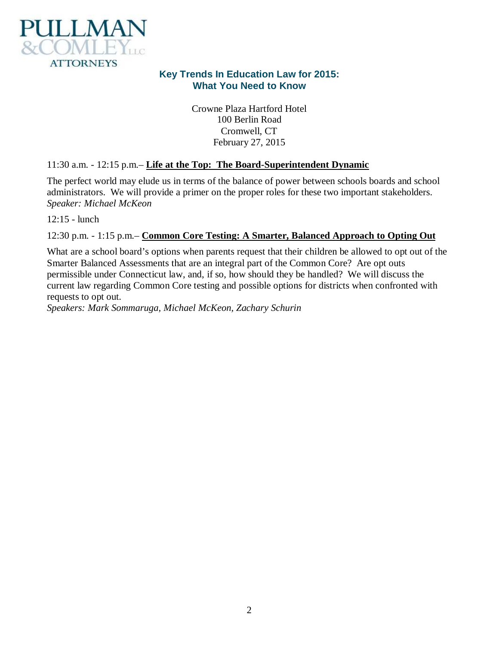

# **Key Trends In Education Law for 2015: What You Need to Know**

Crowne Plaza Hartford Hotel 100 Berlin Road Cromwell, CT February 27, 2015

## 11:30 a.m. - 12:15 p.m.– **Life at the Top: The Board-Superintendent Dynamic**

The perfect world may elude us in terms of the balance of power between schools boards and school administrators. We will provide a primer on the proper roles for these two important stakeholders. *Speaker: Michael McKeon*

12:15 - lunch

## 12:30 p.m. - 1:15 p.m.– **Common Core Testing: A Smarter, Balanced Approach to Opting Out**

What are a school board's options when parents request that their children be allowed to opt out of the Smarter Balanced Assessments that are an integral part of the Common Core? Are opt outs permissible under Connecticut law, and, if so, how should they be handled? We will discuss the current law regarding Common Core testing and possible options for districts when confronted with requests to opt out.

*Speakers: Mark Sommaruga, Michael McKeon, Zachary Schurin*